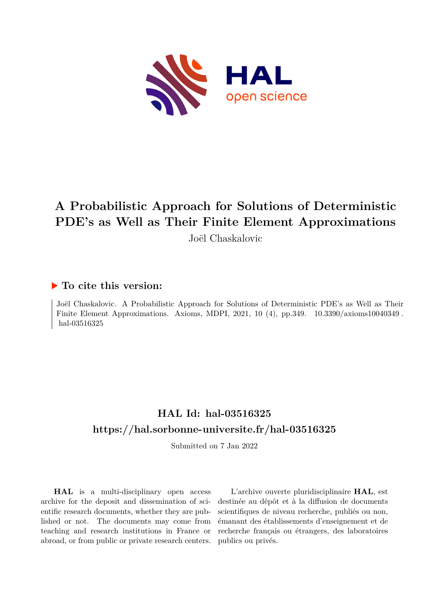

# **A Probabilistic Approach for Solutions of Deterministic PDE's as Well as Their Finite Element Approximations**

Joël Chaskalovic

# **To cite this version:**

Joël Chaskalovic. A Probabilistic Approach for Solutions of Deterministic PDE's as Well as Their Finite Element Approximations. Axioms, MDPI, 2021, 10 (4), pp.349.  $10.3390/axioms10040349$ . hal-03516325

# **HAL Id: hal-03516325 <https://hal.sorbonne-universite.fr/hal-03516325>**

Submitted on 7 Jan 2022

**HAL** is a multi-disciplinary open access archive for the deposit and dissemination of scientific research documents, whether they are published or not. The documents may come from teaching and research institutions in France or abroad, or from public or private research centers.

L'archive ouverte pluridisciplinaire **HAL**, est destinée au dépôt et à la diffusion de documents scientifiques de niveau recherche, publiés ou non, émanant des établissements d'enseignement et de recherche français ou étrangers, des laboratoires publics ou privés.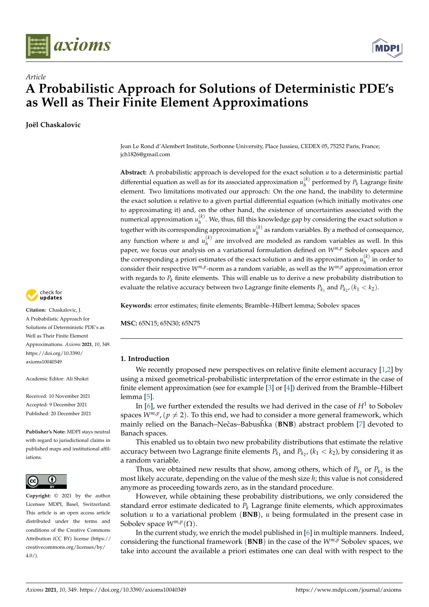



# *Article* **A Probabilistic Approach for Solutions of Deterministic PDE's as Well as Their Finite Element Approximations**

**Joël Chaskalovic**



**Citation:** Chaskalovic, J. A Probabilistic Approach for Solutions of Deterministic PDE's as Well as Their Finite Element Approximations. *Axioms* **2021**, *10*, 349. [https://doi.org/10.3390/](https://doi.org/10.3390/axioms10040349) [axioms10040349](https://doi.org/10.3390/axioms10040349)

Academic Editor: Ali Shokri

Received: 10 November 2021 Accepted: 9 December 2021 Published: 20 December 2021

**Publisher's Note:** MDPI stays neutral with regard to jurisdictional claims in published maps and institutional affiliations.



**Copyright:** © 2021 by the author. Licensee MDPI, Basel, Switzerland. This article is an open access article distributed under the terms and conditions of the Creative Commons Attribution (CC BY) license (https:/[/](https://creativecommons.org/licenses/by/4.0/) [creativecommons.org/licenses/by/](https://creativecommons.org/licenses/by/4.0/)  $4.0/$ ).

Jean Le Rond d'Alembert Institute, Sorbonne University, Place Jussieu, CEDEX 05, 75252 Paris, France; jch1826@gmail.com

**Abstract:** A probabilistic approach is developed for the exact solution *u* to a deterministic partial differential equation as well as for its associated approximation  $u_h^{(k)}$  $h^{\binom{n}{h}}$  performed by  $P_k$  Lagrange finite element. Two limitations motivated our approach: On the one hand, the inability to determine the exact solution *u* relative to a given partial differential equation (which initially motivates one to approximating it) and, on the other hand, the existence of uncertainties associated with the numerical approximation  $u_h^{(k)}$ *h* . We, thus, fill this knowledge gap by considering the exact solution *u* together with its corresponding approximation  $u_h^{(k)}$  $h_h^{(n)}$  as random variables. By a method of consequence, any function where *u* and  $u_h^{(k)}$  $h_h^{(n)}$  are involved are modeled as random variables as well. In this paper, we focus our analysis on a variational formulation defined on *Wm*,*<sup>p</sup>* Sobolev spaces and the corresponding a priori estimates of the exact solution *u* and its approximation  $u_h^{(k)}$  $\binom{n}{h}$  in order to consider their respective *Wm*,*<sup>p</sup>* -norm as a random variable, as well as the *Wm*,*<sup>p</sup>* approximation error with regards to  $P_k$  finite elements. This will enable us to derive a new probability distribution to evaluate the relative accuracy between two Lagrange finite elements  $P_{k_1}$  and  $P_{k_2}$ ,  $(k_1 < k_2)$ .

**Keywords:** error estimates; finite elements; Bramble–Hilbert lemma; Sobolev spaces

**MSC:** 65N15; 65N30; 65N75

## **1. Introduction**

We recently proposed new perspectives on relative finite element accuracy  $[1,2]$  by using a mixed geometrical-probabilistic interpretation of the error estimate in the case of finite element approximation (see for example [3] or [4]) derived from the Bramble–Hilbert lemma [5].

In [6], we further extended the results we had derived in the case of *H*<sup>1</sup> to Sobolev spaces  $W^{m,p}$ ,  $(p \neq 2)$ . To this end, we had to consider a more general framework, which mainly relied on the Banach–Nečas–Babushka (BNB) abstract problem [7] devoted to Banach spaces.

This enabled us to obtain two new probability distributions that estimate the relative accuracy between two Lagrange finite elements  $P_{k_1}$  and  $P_{k_2}$ ,  $(k_1 < k_2)$ , by considering it as a random variable.

Thus, we obtained new results that show, among others, which of  $P_{k_1}$  or  $P_{k_2}$  is the most likely accurate, depending on the value of the mesh size *h*; this value is not considered anymore as proceeding towards zero, as in the standard procedure.

However, while obtaining these probability distributions, we only considered the standard error estimate dedicated to *P<sup>k</sup>* Lagrange finite elements, which approximates solution  $u$  to a variational problem ( $\mathbf{BNB}$ ),  $u$  being formulated in the present case in Sobolev space  $W^{m,p}(\Omega)$ .

In the current study, we enrich the model published in [6] in multiple manners. Indeed, considering the functional framework (**BNB**) in the case of the *Wm*,*<sup>p</sup>* Sobolev spaces, we take into account the available a priori estimates one can deal with with respect to the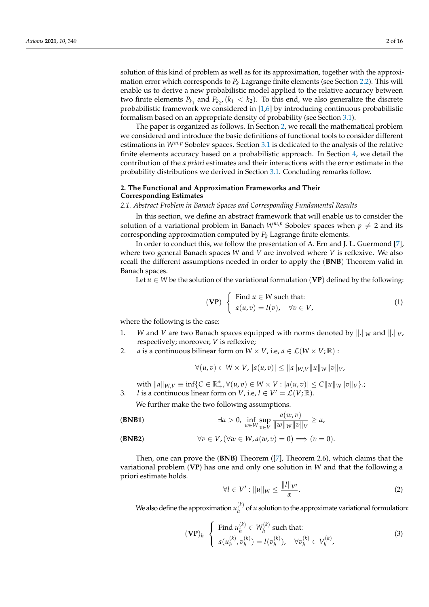solution of this kind of problem as well as for its approximation, together with the approximation error which corresponds to  $P_k$  Lagrange finite elements (see Section 2.2). This will enable us to derive a new probabilistic model applied to the relative accuracy between two finite elements  $P_{k_1}$  and  $P_{k_2}$ ,  $(k_1 < k_2)$ . To this end, we also generalize the discrete probabilistic framework we considered in [1,6] by introducing continuous probabilistic formalism based on an appropriate density of probability (see Section 3.1).

The paper is organized as follows. In Section 2, we recall the mathematical problem we considered and introduce the basic definitions of functional tools to consider different estimations in  $W^{m,p}$  Sobolev spaces. Section 3.1 is dedicated to the analysis of the relative finite elements accuracy based on a probabilistic approach. In Section 4, we detail the contribution of the *a priori* estimates and their interactions with the error estimate in the probability distributions we derived in Section 3.1. Concluding remarks follow.

### **2. The Functional and Approximation Frameworks and Their Corresponding Estimates**

#### *2.1. Abstract Problem in Banach Spaces and Corresponding Fundamental Results*

In this section, we define an abstract framework that will enable us to consider the solution of a variational problem in Banach  $W^{m,p}$  Sobolev spaces when  $p \neq 2$  and its corresponding approximation computed by *P<sup>k</sup>* Lagrange finite elements.

In order to conduct this, we follow the presentation of A. Ern and J. L. Guermond [7], where two general Banach spaces *W* and *V* are involved where *V* is reflexive. We also recall the different assumptions needed in order to apply the (**BNB**) Theorem valid in Banach spaces.

Let  $u \in W$  be the solution of the variational formulation (VP) defined by the following:

$$
\textbf{(VP)}\ \left\{\begin{array}{l}\text{Find }u\in W\text{ such that:} \\ a(u,v)=l(v),\quad\forall v\in V,\end{array}\right.\tag{1}
$$

where the following is the case:

- 1. *W* and *V* are two Banach spaces equipped with norms denoted by  $\|\cdot\|_W$  and  $\|\cdot\|_V$ , respectively; moreover, *V* is reflexive;
- 2. *a* is a continuous bilinear form on  $W \times V$ , i.e,  $a \in \mathcal{L}(W \times V; \mathbb{R})$ :

$$
\forall (u,v) \in W \times V, |a(u,v)| \leq ||a||_{W,V} ||u||_{W} ||v||_{V},
$$

 $\text{with } \|a\|_{W,V} \equiv \inf \{ C \in \mathbb{R}_+^*, \forall (u,v) \in W \times V : |a(u,v)| \le C \|u\|_{W} \|v\|_{V} \}$ .;

3. *l* is a continuous linear form on *V*, i.e,  $l \in V' = \mathcal{L}(V; \mathbb{R})$ .

We further make the two following assumptions.

(BNB1) 
$$
\exists \alpha > 0, \inf_{w \in W} \sup_{v \in V} \frac{a(w, v)}{\|w\|_{W}\|v\|_{V}} \ge \alpha,
$$

(BNB2) 
$$
\forall v \in V, (\forall w \in W, a(w, v) = 0) \Longrightarrow (v = 0).
$$

Then, one can prove the (**BNB**) Theorem ([7], Theorem 2.6), which claims that the variational problem (**VP**) has one and only one solution in *W* and that the following a priori estimate holds.

$$
\forall l \in V': \|u\|_{W} \le \frac{\|l\|_{V'}}{\alpha}.\tag{2}
$$

We also define the approximation  $u_h^{(k)}$  $h_h^{(k)}$  of *u* solution to the approximate variational formulation:

$$
(\mathbf{VP})_h \left\{ \begin{array}{l} \text{Find } u_h^{(k)} \in W_h^{(k)} \text{ such that:} \\ a(u_h^{(k)}, v_h^{(k)}) = l(v_h^{(k)}), \quad \forall v_h^{(k)} \in V_h^{(k)}, \end{array} \right. \tag{3}
$$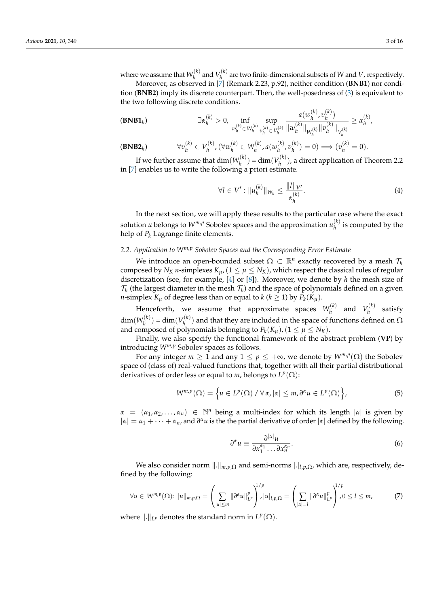Moreover, as observed in [7] (Remark 2.23, p.92), neither condition (**BNB1**) nor condition (**BNB2**) imply its discrete counterpart. Then, the well-posedness of (3) is equivalent to the two following discrete conditions.

$$
\textbf{(BNB1}_h) \qquad \qquad \exists \alpha_h^{(k)} > 0, \ \inf_{w_h^{(k)} \in W_h^{(k)}} \sup_{v_h^{(k)} \in V_h^{(k)}} \frac{a(w_h^{(k)}, v_h^{(k)})}{\|w_h^{(k)}\|_{W_h^{(k)}} \|v_h^{(k)}\|_{V_h^{(k)}}} \ge \alpha_h^{(k)},
$$

$$
(\mathbf{BNB2}_h) \qquad \forall v_h^{(k)} \in V_h^{(k)}, (\forall w_h^{(k)} \in W_h^{(k)}, a(w_h^{(k)}, v_h^{(k)}) = 0) \Longrightarrow (v_h^{(k)} = 0).
$$

If we further assume that  $\dim(W_h^{(k)})$  $\binom{n(k)}{h}$  = dim $\binom{V_{h}^{(k)}}{h}$  $h_h^{\left(\mathcal{K}\right)}$ ), a direct application of Theorem 2.2 in [7] enables us to write the following a priori estimate.

$$
\forall l \in V': \|u_h^{(k)}\|_{W_h} \le \frac{\|l\|_{V'}}{\alpha_h^{(k)}}.
$$
\n(4)

In the next section, we will apply these results to the particular case where the exact solution *u* belongs to  $W^{m,p}$  Sobolev spaces and the approximation  $u_h^{(k)}$  $h^{\binom{n}{k}}$  is computed by the help of *P<sup>k</sup>* Lagrange finite elements.

#### *2.2. Application to Wm*,*<sup>p</sup> Sobolev Spaces and the Corresponding Error Estimate*

We introduce an open-bounded subset  $\Omega \subset \mathbb{R}^n$  exactly recovered by a mesh  $\mathcal{T}_h$ composed by  $N_K$  *n*-simplexes  $K_{\mu}$ , ( $1 \leq \mu \leq N_K$ ), which respect the classical rules of regular discretization (see, for example, [4] or [8]). Moreover, we denote by *h* the mesh size of  $\mathcal{T}_h$  (the largest diameter in the mesh  $\mathcal{T}_h$ ) and the space of polynomials defined on a given *n*-simplex  $K_\mu$  of degree less than or equal to  $k$  ( $k \geq 1$ ) by  $P_k(K_\mu)$ .

Henceforth, we assume that approximate spaces  $W_h^{(k)}$  $V_h^{(k)}$  and  $V_h^{(k)}$  $h^{(k)}$  satisfy  $\dim(W_h^{(k)}$  $y_h^{(k)}$ ) = dim $(V_h^{(k)})$  $h_h^{(h)}$ ) and that they are included in the space of functions defined on  $\Omega$ and composed of polynomials belonging to  $P_k(K_\mu)$ ,  $(1 \leq \mu \leq N_K)$ .

Finally, we also specify the functional framework of the abstract problem (**VP**) by introducing *Wm*,*<sup>p</sup>* Sobolev spaces as follows.

For any integer  $m \geq 1$  and any  $1 \leq p \leq +\infty$ , we denote by  $W^{m,p}(\Omega)$  the Sobolev space of (class of) real-valued functions that, together with all their partial distributional derivatives of order less or equal to *m*, belongs to  $L^p(\Omega)$ :

$$
W^{m,p}(\Omega) = \left\{ u \in L^p(\Omega) \, / \, \forall \, \alpha, |\alpha| \leq m, \, \partial^\alpha u \in L^p(\Omega) \right\},\tag{5}
$$

 $\alpha = (\alpha_1, \alpha_2, \dots, \alpha_n) \in \mathbb{N}^n$  being a multi-index for which its length  $|\alpha|$  is given by  $|a| = \alpha_1 + \cdots + \alpha_n$ , and  $\partial^{\alpha}u$  is the the partial derivative of order  $|a|$  defined by the following.

$$
\partial^{\alpha} u \equiv \frac{\partial^{|\alpha|} u}{\partial x_1^{\alpha_1} \dots \partial x_n^{\alpha_n}}.
$$
\n(6)

We also consider norm  $\| \cdot \|_{m,p,\Omega}$  and semi-norms  $| \cdot |_{l,p,\Omega}$ , which are, respectively, defined by the following:

$$
\forall u \in W^{m,p}(\Omega): \left\|u\right\|_{m,p,\Omega} = \left(\sum_{|\alpha| \le m} \left\|\partial^{\alpha} u\right\|_{L^p}^p\right)^{1/p}, \left|u\right|_{l,p,\Omega} = \left(\sum_{|\alpha|=l} \left\|\partial^{\alpha} u\right\|_{L^p}^p\right)^{1/p}, 0 \le l \le m,
$$
\n(7)

where  $\Vert .\Vert_{L^p}$  denotes the standard norm in  $L^p(\Omega)$ .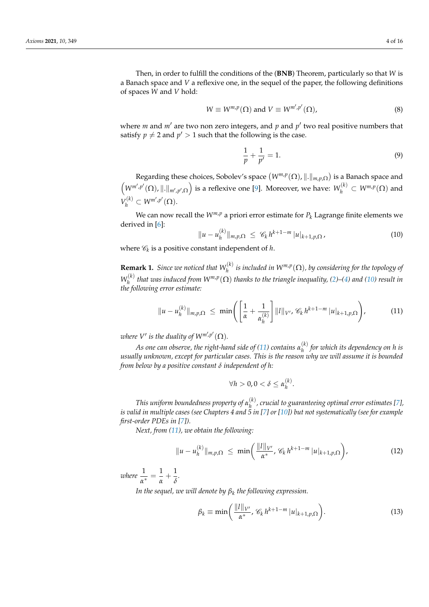Then, in order to fulfill the conditions of the (**BNB**) Theorem, particularly so that *W* is a Banach space and *V* a reflexive one, in the sequel of the paper, the following definitions of spaces *W* and *V* hold:

$$
W \equiv W^{m,p}(\Omega) \text{ and } V \equiv W^{m',p'}(\Omega), \tag{8}
$$

where  $m$  and  $m'$  are two non zero integers, and  $p$  and  $p'$  two real positive numbers that satisfy  $p \neq 2$  and  $p' > 1$  such that the following is the case.

$$
\frac{1}{p} + \frac{1}{p'} = 1.
$$
\n(9)

Regarding these choices, Sobolev's space  $(W^{m,p}(\Omega), \|.\|_{m,p,\Omega})$  is a Banach space and  $(W^{m',p'}(\Omega), \|.\|_{m',p',\Omega})$  is a reflexive one [9]. Moreover, we have:  $W_h^{(k)} \subset W^{m,p}(\Omega)$  and  $V_h^{(k)} \subset W^{m',p'}(\Omega)$ .

We can now recall the  $W^{m,p}$  a priori error estimate for  $P_k$  Lagrange finite elements we derived in [6]:

$$
||u - u_h^{(k)}||_{m,p,\Omega} \leq \mathcal{C}_k h^{k+1-m} |u|_{k+1,p,\Omega},
$$
\n(10)

where  $\mathscr{C}_k$  is a positive constant independent of  $h$ .

**Remark 1.** *Since we noticed that*  $W_h^{(k)}$  $\theta_h^{(k)}$  is included in  $W^{m,p}(\Omega)$ , by considering for the topology of  $W_h^{(k)}$  $h^{(k)}$  *that was induced from*  $W^{m,p}(\Omega)$  *thanks to the triangle inequality, (2)–(4) and (10) result in the following error estimate:*

$$
||u - u_h^{(k)}||_{m,p,\Omega} \leq \min \left( \left[ \frac{1}{\alpha} + \frac{1}{\alpha_h^{(k)}} \right] ||l||_{V'}, \mathscr{C}_k h^{k+1-m} |u|_{k+1,p,\Omega} \right), \tag{11}
$$

where  $V'$  is the duality of  $\mathsf{W}^{m',p'}(\Omega).$ 

 $A$ s one can observe, the right-hand side of (11) contains  $\alpha_h^{(k)}$ *h for which its dependency on h is usually unknown, except for particular cases. This is the reason why we will assume it is bounded from below by a positive constant δ independent of h:*

$$
\forall h > 0, 0 < \delta \leq \alpha_h^{(k)}.
$$

*This uniform boundedness property of*  $\alpha_h^{(k)}$ *h , crucial to guaranteeing optimal error estimates [7], is valid in multiple cases (see Chapters 4 and 5 in [7] or [10]) but not systematically (see for example first-order PDEs in [7]).*

*Next, from (11), we obtain the following:*

$$
||u - u_h^{(k)}||_{m,p,\Omega} \leq \min\left(\frac{||l||_{V'}}{\alpha^*}, \mathscr{C}_k h^{k+1-m} |u|_{k+1,p,\Omega}\right),
$$
\n(12)

*where*  $\frac{1}{\alpha^*} = \frac{1}{\alpha}$ *α*  $+\frac{1}{5}$ *δ .*

*In the sequel, we will denote by β<sup>k</sup> the following expression.*

$$
\beta_k \equiv \min\left(\frac{\|l\|_{V'}}{\alpha^*}, \mathscr{C}_k h^{k+1-m} |u|_{k+1,p,\Omega}\right). \tag{13}
$$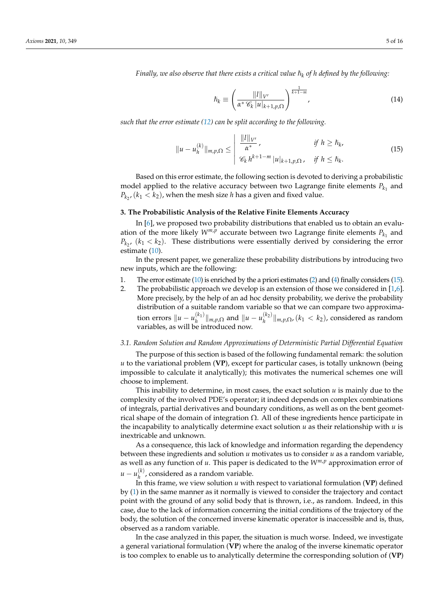*Finally, we also observe that there exists a critical value*  $\hbar_k$  *of h defined by the following:* 

$$
\hslash_k \equiv \left(\frac{\|l\|_{V'}}{\alpha^* \mathscr{C}_k |u|_{k+1,p,\Omega}}\right)^{\frac{1}{k+1-m}},\tag{14}
$$

*such that the error estimate (12) can be split according to the following.*

$$
||u - u_h^{(k)}||_{m,p,\Omega} \le \left| \begin{array}{cc} ||l||_{V'} & \text{if } h \ge h_k, \\ \frac{\alpha^*}{\alpha^*} & \text{if } h \ge h_k, \\ \mathcal{C}_k h^{k+1-m} |u|_{k+1,p,\Omega}, & \text{if } h \le h_k. \end{array} \right. \tag{15}
$$

Based on this error estimate, the following section is devoted to deriving a probabilistic model applied to the relative accuracy between two Lagrange finite elements  $P_{k_1}$  and  $P_{k_2}$ ,  $(k_1 < k_2)$ , when the mesh size *h* has a given and fixed value.

#### **3. The Probabilistic Analysis of the Relative Finite Elements Accuracy**

In [6], we proposed two probability distributions that enabled us to obtain an evaluation of the more likely  $W^{m,p}$  accurate between two Lagrange finite elements  $P_{k_1}$  and  $P_{k_2}$ ,  $(k_1 < k_2)$ . These distributions were essentially derived by considering the error estimate (10).

In the present paper, we generalize these probability distributions by introducing two new inputs, which are the following:

- 1. The error estimate (10) is enriched by the a priori estimates (2) and (4) finally considers (15).
- 2. The probabilistic approach we develop is an extension of those we considered in [1,6]. More precisely, by the help of an ad hoc density probability, we derive the probability distribution of a suitable random variable so that we can compare two approxima*tion errors*  $\|u - u_h^{(k_1)}\|$ *k*<sub>1</sub>)  $\|m, p, \Omega$  and  $\|u - u_h^{(k_2)}\|_{m, p, \Omega}$ ,  $(k_1 < k_2)$ , considered as random variables, as will be introduced now.

#### *3.1. Random Solution and Random Approximations of Deterministic Partial Differential Equation*

The purpose of this section is based of the following fundamental remark: the solution *u* to the variational problem (**VP**), except for particular cases, is totally unknown (being impossible to calculate it analytically); this motivates the numerical schemes one will choose to implement.

This inability to determine, in most cases, the exact solution  $u$  is mainly due to the complexity of the involved PDE's operator; it indeed depends on complex combinations of integrals, partial derivatives and boundary conditions, as well as on the bent geometrical shape of the domain of integration  $Ω$ . All of these ingredients hence participate in the incapability to analytically determine exact solution *u* as their relationship with *u* is inextricable and unknown.

As a consequence, this lack of knowledge and information regarding the dependency between these ingredients and solution *u* motivates us to consider *u* as a random variable, as well as any function of *u*. This paper is dedicated to the *Wm*,*<sup>p</sup>* approximation error of  $u - u_h^{(k)}$  $h$ <sup>( $h$ </sup>), considered as a random variable.

In this frame, we view solution *u* with respect to variational formulation (**VP**) defined by (1) in the same manner as it normally is viewed to consider the trajectory and contact point with the ground of any solid body that is thrown, i.e., as random. Indeed, in this case, due to the lack of information concerning the initial conditions of the trajectory of the body, the solution of the concerned inverse kinematic operator is inaccessible and is, thus, observed as a random variable.

In the case analyzed in this paper, the situation is much worse. Indeed, we investigate a general variational formulation (**VP**) where the analog of the inverse kinematic operator is too complex to enable us to analytically determine the corresponding solution of (**VP**)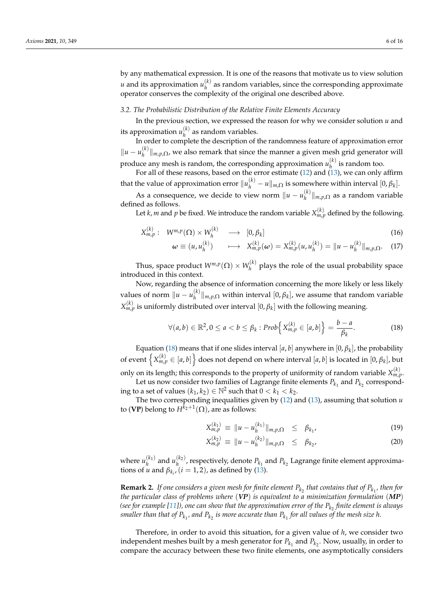by any mathematical expression. It is one of the reasons that motivate us to view solution  $u$  and its approximation  $u_h^{(k)}$  $h$ <sup>( $h$ </sup>) as random variables, since the corresponding approximate operator conserves the complexity of the original one described above.

#### *3.2. The Probabilistic Distribution of the Relative Finite Elements Accuracy*

In the previous section, we expressed the reason for why we consider solution *u* and its approximation  $u_h^{(k)}$  as random variables.

*h* In order to complete the description of the randomness feature of approximation error ||*u* − *u*<sup>(*k*)</sup>)  $\|h_h^{(k)}\|_{m,p,\Omega}$ , we also remark that since the manner a given mesh grid generator will produce any mesh is random, the corresponding approximation  $u_h^{(k)}$  $h^{(k)}$  is random too.

For all of these reasons, based on the error estimate (12) and (13), we can only affirm that the value of approximation error  $||u_h^{(k)} - u||_{m,\Omega}$  is somewhere within interval  $[0, \beta_k]$ .

As a consequence, we decide to view norm  $\|u - u_h^{(k)}\|$ *h* k*m*,*p*,<sup>Ω</sup> as a random variable defined as follows.

Let *k*, *m* and *p* be fixed. We introduce the random variable  $X_{m,p}^{(k)}$  defined by the following.

$$
X_{m,p}^{(k)}: \quad W^{m,p}(\Omega) \times W_h^{(k)} \quad \longrightarrow \quad [0, \beta_k]
$$
\n
$$
\omega \equiv (u, u_h^{(k)}) \quad \longrightarrow \quad X_{m,p}^{(k)}(\omega) = X_{m,p}^{(k)}(u, u_h^{(k)}) = ||u - u_h^{(k)}||_{m,p,\Omega}. \quad (17)
$$

Thus, space product  $W^{m,p}(\Omega) \times W_h^{(k)}$  $h_h^{(k)}$  plays the role of the usual probability space introduced in this context.

Now, regarding the absence of information concerning the more likely or less likely values of norm  $||u - u_h^{(k)}||$  $\mathbf{h}_{h}^{(k)}$  ||<sub>*m*,*p*, $\Omega$  within interval  $[0, \beta_k]$ , we assume that random variable</sub>  $X_{m,p}^{(k)}$  is uniformly distributed over interval  $[0,\beta_k]$  with the following meaning.

$$
\forall (a,b) \in \mathbb{R}^2, 0 \le a < b \le \beta_k : \mathit{Prob}\Big\{X_{m,p}^{(k)} \in [a,b]\Big\} = \frac{b-a}{\beta_k}.\tag{18}
$$

Equation (18) means that if one slides interval  $[a, b]$  anywhere in  $[0, \beta_k]$ , the probability of event  $\left\{X_{m,p}^{(k)} \in [a,b]\right\}$  does not depend on where interval  $[a,b]$  is located in  $[0,\beta_k]$ , but

only on its length; this corresponds to the property of uniformity of random variable  $X_{m,p}^{(k)}$ . Let us now consider two families of Lagrange finite elements  $P_{k_1}$  and  $P_{k_2}$  corresponding to a set of values  $(k_1, k_2) \in \mathbb{N}^2$  such that  $0 < k_1 < k_2$ .

The two corresponding inequalities given by (12) and (13), assuming that solution *u* to (**VP**) belong to  $H^{\bar{k}_2+1}(\Omega)$ , are as follows:

$$
X_{m,p}^{(k_1)} \equiv \|u - u_h^{(k_1)}\|_{m,p,\Omega} \leq \beta_{k_1}, \tag{19}
$$

$$
X_{m,p}^{(k_2)} \equiv \|u - u_h^{(k_2)}\|_{m,p,\Omega} \leq \beta_{k_2}, \tag{20}
$$

where  $u_h^{(k_1)}$  $h_h^{(k_1)}$  and  $u_{h}^{(k_2)}$ , respectively, denote  $P_{k_1}$  and  $P_{k_2}$  Lagrange finite element approximations of *u* and  $\beta_{k_i}$ ,  $(i = 1, 2)$ , as defined by (13).

**Remark 2.** If one considers a given mesh for finite element  $P_{k_2}$  that contains that of  $P_{k_1}$ , then for *the particular class of problems where* (*VP*) *is equivalent to a minimization formulation* (*MP*) *(see for example [11]), one can show that the approximation error of the Pk*<sup>2</sup> *finite element is always* smaller than that of  $P_{k_1}$ , and  $P_{k_2}$  is more accurate than  $P_{k_1}$  for all values of the mesh size h.

Therefore, in order to avoid this situation, for a given value of *h*, we consider two independent meshes built by a mesh generator for  $P_{k_1}$  and  $P_{k_2}$ . Now, usually, in order to compare the accuracy between these two finite elements, one asymptotically considers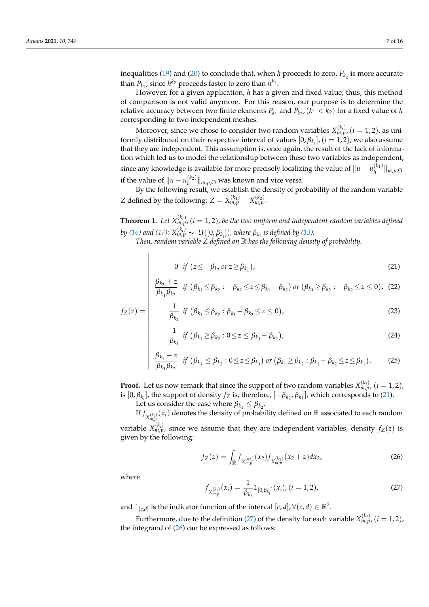inequalities (19) and (20) to conclude that, when *h* proceeds to zero,  $P_{k_2}$  is more accurate than  $P_{k_1}$ , since  $h^{k_2}$  proceeds faster to zero than  $h^{k_1}$ .

However, for a given application, *h* has a given and fixed value; thus, this method of comparison is not valid anymore. For this reason, our purpose is to determine the relative accuracy between two finite elements  $P_{k_1}$  and  $P_{k_2}$ ,  $(k_1 < k_2)$  for a fixed value of *h* corresponding to two independent meshes.

Moreover, since we chose to consider two random variables  $X_{m,p}^{(k_i)}$  ( $i=1,2$ ), as uniformly distributed on their respective interval of values  $[0, \beta_{k_i}]$ ,  $(i = 1, 2)$ , we also assume that they are independent. This assumption is, once again, the result of the lack of information which led us to model the relationship between these two variables as independent, since any knowledge is available for more precisely localizing the value of  $||u - u_h^{(k_1)}||$ *h* k*m*,*p*,<sup>Ω</sup> if the value of  $||u - u_h^{(k_2)}||_{m,p,\Omega}$  was known and vice versa.

By the following result, we establish the density of probability of the random variable *Z* defined by the following:  $Z = X_{m,p}^{(k_1)} - X_{m,p}^{(k_2)}$ .

**Theorem 1.** Let  $X_{m,p}^{(k_i)}$ ,  $(i = 1, 2)$ , be the two uniform and independent random variables defined  $b$ y (16) and (17):  $X_{m,p}^{(k_i)} \sim \ U([0,\beta_{k_i}])$ , where  $\beta_{k_i}$  is defined by (13).

*Then, random variable Z defined on* R *has the following density of probability.*

$$
0 \tif (z \le -\beta_{k_2} \t or z \ge \beta_{k_1}), \t(21)
$$

$$
\frac{\beta_{k_2}+z}{\beta_{k_1}\beta_{k_2}} \text{ if } (\beta_{k_1}\leq \beta_{k_2}: -\beta_{k_2}\leq z \leq \beta_{k_1}-\beta_{k_2}) \text{ or } (\beta_{k_1}\geq \beta_{k_2}: -\beta_{k_2}\leq z \leq 0), \text{ (22)}
$$

$$
f_Z(z) = \begin{vmatrix} \frac{1}{\beta_{k_2}} & \text{if } (\beta_{k_1} \leq \beta_{k_2} : \beta_{k_1} - \beta_{k_2} \leq z \leq 0), \\ 0 & \text{if } (\beta_{k_1} \leq \beta_{k_2} : \beta_{k_1} - \beta_{k_2} \leq z \leq 0) \end{vmatrix},
$$

$$
\frac{1}{\beta_{k_1}} \text{ if } (\beta_{k_1} \ge \beta_{k_2} : 0 \le z \le \beta_{k_1} - \beta_{k_2}), \tag{24}
$$

$$
\frac{\beta_{k_1} - z}{\beta_{k_1} \beta_{k_2}} \text{ if } (\beta_{k_1} \le \beta_{k_2} : 0 \le z \le \beta_{k_1}) \text{ or } (\beta_{k_1} \ge \beta_{k_2} : \beta_{k_1} - \beta_{k_2} \le z \le \beta_{k_1}). \tag{25}
$$

**Proof.** Let us now remark that since the support of two random variables  $X_{m,p}^{(k_i)}$ ,  $(i = 1, 2)$ , is  $[0, \beta_{k_i}]$ , the support of density  $f_Z$  is, therefore,  $[-\beta_{k_2}, \beta_{k_1}]$ , which corresponds to (21).

Let us consider the case where  $\beta_{k_1} \leq \beta_{k_2}$ .

If  $f_{X_{m,p}^{(k_i)}}(x_i)$  denotes the density of probability defined on R associated to each random

variable  $X_{m,p}^{(k_i)}$ , since we assume that they are independent variables, density  $f_Z(z)$  is given by the following:

$$
f_Z(z) = \int_{\mathbb{R}} f_{X_{m,p}^{(k_2)}}(x_2) f_{X_{m,p}^{(k_1)}}(x_2 + z) dx_2,
$$
 (26)

where

 $\overline{\phantom{a}}$  $\overline{\phantom{a}}$  $\overline{\phantom{a}}$  $\overline{\phantom{a}}$  $\overline{\phantom{a}}$  $\overline{\phantom{a}}$  $\overline{\phantom{a}}$  $\overline{\phantom{a}}$  $\overline{\phantom{a}}$  $\overline{\phantom{a}}$ 

 $\overline{\phantom{a}}$  $\overline{\phantom{a}}$  $\overline{\phantom{a}}$  $\overline{\phantom{a}}$  $\overline{\phantom{a}}$  $\overline{\phantom{a}}$  $\overline{\phantom{a}}$  $\overline{\phantom{a}}$  $\overline{\phantom{a}}$  $\overline{\phantom{a}}$ 

$$
f_{X_{m,p}^{(k_i)}}(x_i) = \frac{1}{\beta_{k_i}} 1\!\!1_{[0,\beta_{k_i}]}(x_i), (i = 1, 2),
$$
\n(27)

and  $\mathbb{1}_{[c,d]}$  is the indicator function of the interval  $[c,d]$ ,  $\forall (c,d) \in \mathbb{R}^2$ .

Furthermore, due to the definition (27) of the density for each variable  $X_{m,p}^{(k_i)}$  ( $i=1,2$ ), the integrand of  $(26)$  can be expressed as follows: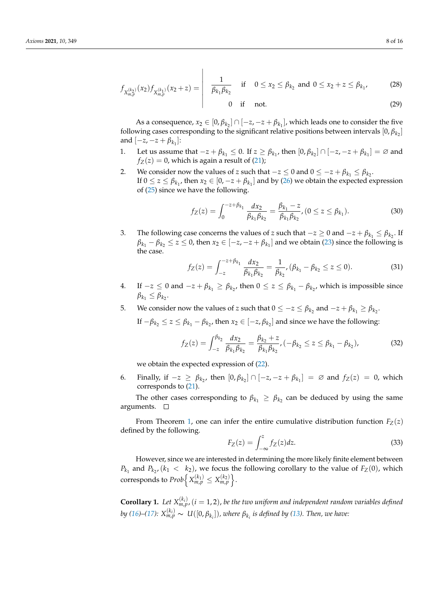$$
f_{X_{m,p}^{(k_2)}}(x_2) f_{X_{m,p}^{(k_1)}}(x_2+z) = \begin{vmatrix} \frac{1}{\beta_{k_1} \beta_{k_2}} & \text{if } 0 \le x_2 \le \beta_{k_2} \text{ and } 0 \le x_2+z \le \beta_{k_1}, \\ 0 & \text{if } \text{not.} \end{vmatrix}
$$
 (28)

$$
0 \quad \text{if} \quad \text{not.} \tag{29}
$$

As a consequence,  $x_2 \in [0, \beta_{k_2}] \cap [-z, -z + \beta_{k_1}]$ , which leads one to consider the five following cases corresponding to the significant relative positions between intervals  $[0, \beta_{k_2}]$ and  $[-z, -z + \beta_{k_1}]$ :

- 1. Let us assume that  $-z + \beta_{k_1} \le 0$ . If  $z \ge \beta_{k_1}$ , then  $[0, \beta_{k_2}] \cap [-z, -z + \beta_{k_1}] = \emptyset$  and  $f_Z(z) = 0$ , which is again a result of (21);
- 2. We consider now the values of *z* such that  $-z \le 0$  and  $0 \le -z + \beta_{k_1} \le \beta_{k_2}$ . If  $0 \le z \le \beta_{k_1}$ , then  $x_2 \in [0, -z + \beta_{k_1}]$  and by (26) we obtain the expected expression of (25) since we have the following.

$$
f_Z(z) = \int_0^{-z+\beta_{k_1}} \frac{dx_2}{\beta_{k_1}\beta_{k_2}} = \frac{\beta_{k_1} - z}{\beta_{k_1}\beta_{k_2}}, (0 \le z \le \beta_{k_1}).
$$
 (30)

3. The following case concerns the values of *z* such that  $-z \ge 0$  and  $-z + \beta_{k_1} \le \beta_{k_2}$ . If  $\beta_{k_1} - \beta_{k_2} \le z \le 0$ , then  $x_2 \in [-z, -z + \beta_{k_1}]$  and we obtain (23) since the following is the case.

$$
f_Z(z) = \int_{-z}^{-z+\beta_{k_1}} \frac{dx_2}{\beta_{k_1}\beta_{k_2}} = \frac{1}{\beta_{k_2}}, (\beta_{k_1} - \beta_{k_2} \le z \le 0).
$$
 (31)

- 4. If −*z* ≤ 0 and −*z* +  $β_{k_1} ≥ β_{k_2}$ , then 0 ≤ *z* ≤  $β_{k_1} − β_{k_2}$ , which is impossible since  $\beta_{k_1} \leq \beta_{k_2}$
- 5. We consider now the values of *z* such that  $0 \leq -z \leq \beta_{k_2}$  and  $-z + \beta_{k_1} \geq \beta_{k_2}$ .

If  $-\beta_{k_2} \le z \le \beta_{k_1} - \beta_{k_2}$ , then  $x_2 \in [-z, \beta_{k_2}]$  and since we have the following:

$$
f_Z(z) = \int_{-z}^{\beta_{k_2}} \frac{dx_2}{\beta_{k_1} \beta_{k_2}} = \frac{\beta_{k_2} + z}{\beta_{k_1} \beta_{k_2}}, \quad (-\beta_{k_2} \le z \le \beta_{k_1} - \beta_{k_2}), \tag{32}
$$

we obtain the expected expression of (22).

6. Finally, if  $-z \ge \beta_{k_2}$ , then  $[0, \beta_{k_2}] \cap [-z, -z + \beta_{k_1}] = \emptyset$  and  $f_Z(z) = 0$ , which corresponds to (21).

The other cases corresponding to  $\beta_{k_1} \geq \beta_{k_2}$  can be deduced by using the same arguments.

From Theorem 1, one can infer the entire cumulative distribution function  $F_Z(z)$ defined by the following.

$$
F_Z(z) = \int_{-\infty}^{z} f_Z(z) dz.
$$
 (33)

However, since we are interested in determining the more likely finite element between  $P_{k_1}$  and  $P_{k_2}$ , ( $k_1 < k_2$ ), we focus the following corollary to the value of  $F_Z(0)$ , which corresponds to  $Prob\left\{X_{m,p}^{(k_1)} \leq X_{m,p}^{(k_2)}\right\}.$ 

**Corollary 1.** Let  $X_{m,p}^{(k_i)}$ ,  $(i = 1, 2)$ , be the two uniform and independent random variables defined by (16)–(17):  $X_{m,p}^{(k_i)} \sim\ U([0,\beta_{k_i}])$ , where  $\beta_{k_i}$  is defined by (13). Then, we have: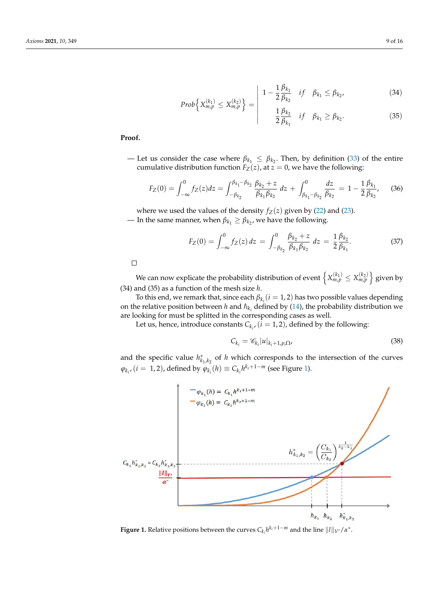$$
Prob\left\{X_{m,p}^{(k_1)} \le X_{m,p}^{(k_2)}\right\} = \begin{vmatrix} 1 - \frac{1}{2} \frac{\beta_{k_1}}{\beta_{k_2}} & \text{if } \beta_{k_1} \le \beta_{k_2}, \\ 1 & \beta_{k_2} & \text{if } \beta_{k_1} \le \beta_{k_2}, \end{vmatrix}
$$
(34)

$$
\frac{1}{2}\frac{\beta_{k_2}}{\beta_{k_1}} \quad if \quad \beta_{k_1} \ge \beta_{k_2}.\tag{35}
$$

# **Proof.**

— Let us consider the case where  $\beta_{k_1} \leq \beta_{k_2}$ . Then, by definition (33) of the entire cumulative distribution function  $F_Z(z)$ , at  $z = 0$ , we have the following:

 $\overline{\phantom{a}}$  $\overline{\phantom{a}}$  $\overline{\phantom{a}}$ 

$$
F_Z(0) = \int_{-\infty}^0 f_Z(z) dz = \int_{-\beta_{k_2}}^{\beta_{k_1} - \beta_{k_2}} \frac{\beta_{k_2} + z}{\beta_{k_1} \beta_{k_2}} dz + \int_{\beta_{k_1} - \beta_{k_2}}^0 \frac{dz}{\beta_{k_2}} = 1 - \frac{1}{2} \frac{\beta_{k_1}}{\beta_{k_2}},
$$
 (36)

where we used the values of the density  $f_Z(z)$  given by (22) and (23). — In the same manner, when  $\beta_{k_1} \geq \beta_{k_2}$ , we have the following.

$$
F_Z(0) = \int_{-\infty}^0 f_Z(z) dz = \int_{-\beta_{k_2}}^0 \frac{\beta_{k_2} + z}{\beta_{k_1} \beta_{k_2}} dz = \frac{1}{2} \frac{\beta_{k_2}}{\beta_{k_1}}.
$$
 (37)

 $\Box$ 

We can now explicate the probability distribution of event  $\left\{X_{m,p}^{(k_1)}\leq X_{m,p}^{(k_2)}\right\}$  given by (34) and (35) as a function of the mesh size *h*.

To this end, we remark that, since each  $\beta_{k_i}(i=1,2)$  has two possible values depending on the relative position between *h* and  $\hbar_{k_i}$  defined by (14), the probability distribution we are looking for must be splitted in the corresponding cases as well.

Let us, hence, introduce constants  $C_{k_i}$ ,  $(i = 1, 2)$ , defined by the following:

$$
C_{k_i} = \mathcal{C}_{k_i} |u|_{k_i + 1, p, \Omega}, \tag{38}
$$

and the specific value  $h_{k_1,k_2}^*$  of *h* which corresponds to the intersection of the curves  $\varphi_{k_i}$ ,  $(i = 1, 2)$ , defined by  $\varphi_{k_i}(h) \equiv C_{k_i} h^{k_i + 1 - m}$  (see Figure 1).



**Figure 1.** Relative positions between the curves  $C_{k_i} h^{k_i+1-m}$  and the line  $||l||_{V'}/\alpha^*$ .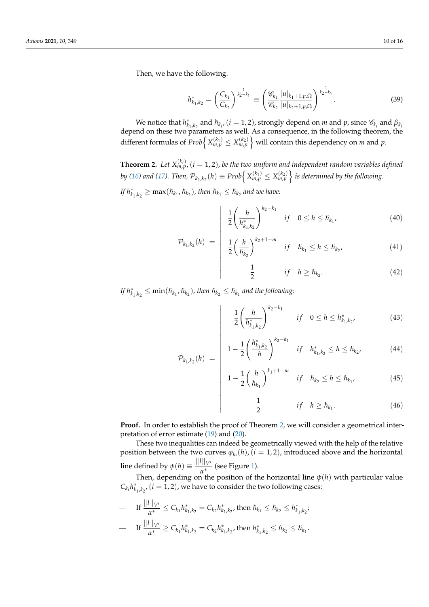Then, we have the following.

$$
h_{k_1,k_2}^* = \left(\frac{C_{k_1}}{C_{k_2}}\right)^{\frac{1}{k_2 - k_1}} \equiv \left(\frac{\mathscr{C}_{k_1}}{\mathscr{C}_{k_2}} \frac{|u|_{k_1 + 1, p, \Omega}}{|u|_{k_2 + 1, p, \Omega}}\right)^{\frac{1}{k_2 - k_1}}.
$$
 (39)

We notice that  $h_{k_1,k_2}^*$  and  $\hbar_{k_i}$ ,  $(i = 1, 2)$ , strongly depend on *m* and *p*, since  $\mathscr{C}_{k_i}$  and  $\beta_{k_i}$ depend on these two parameters as well. As a consequence, in the following theorem, the  $\bigcup_{m,n}$  different formulas of  $Prob\Big\{X_{m,p}^{(k_1)} \leq X_{m,p}^{(k_2)}\Big\}$  will contain this dependency on  $m$  and  $p.$ 

**Theorem 2.** Let  $X_{m,p}^{(k_i)}$ ,  $(i = 1, 2)$ , be the two uniform and independent random variables defined by (16) and (17). Then,  $\mathcal{P}_{k_1,k_2}(h)\equiv Prob\Big\{X_{m,p}^{(k_1)}\leq X_{m,p}^{(k_2)}\Big\}$  is determined by the following.

*If*  $h_{k_1,k_2}^* \geq \max(\hbar_{k_1}, \hbar_{k_2})$ , then  $\hbar_{k_1} \leq \hbar_{k_2}$  and we have:

$$
\left| \frac{1}{2} \left( \frac{h}{h_{k_1, k_2}^*} \right)^{k_2 - k_1} \right| \quad \text{if} \quad 0 \le h \le \hbar_{k_1}, \tag{40}
$$

$$
\mathcal{P}_{k_1,k_2}(h) = \begin{vmatrix} 1 & h \\ \frac{1}{2} & \left(\frac{h}{\hbar_{k_2}}\right)^{k_2+1-m} & \text{if} \quad \hbar_{k_1} \le h \le \hbar_{k_2}, \\ 1 & 1 & \end{vmatrix} \tag{41}
$$

$$
\frac{1}{2} \qquad \qquad if \quad h \ge h_{k_2}.\tag{42}
$$

*If*  $h_{k_1,k_2}^* \le \min(\hbar_{k_1}, \hbar_{k_2})$ , then  $\hbar_{k_2} \le \hbar_{k_1}$  and the following:

 $\overline{\phantom{a}}$  $\overline{\phantom{a}}$  $\overline{\phantom{a}}$ 

 $\overline{\phantom{a}}$  $\overline{\phantom{a}}$  $\overline{\phantom{a}}$  $\overline{\phantom{a}}$  $\overline{\phantom{a}}$  $\overline{\phantom{a}}$ 

 $\overline{\phantom{a}}$  $\overline{\phantom{a}}$  $\overline{\phantom{a}}$  $\overline{\phantom{a}}$ 

$$
\frac{1}{2} \left( \frac{h}{h_{k_1,k_2}^*} \right)^{k_2 - k_1} \quad \text{if} \quad 0 \le h \le h_{k_1,k_2}^* \tag{43}
$$

$$
\mathcal{P}_{k_1,k_2}(h) = \begin{vmatrix} 1 - \frac{1}{2} \left( \frac{h_{k_1,k_2}^*}{h} \right)^{k_2 - k_1} & \text{if} \quad h_{k_1,k_2}^* \le h \le h_{k_2}, \end{vmatrix} \tag{44}
$$

$$
1 - \frac{1}{2} \left(\frac{h}{\hslash_{k_1}}\right)^{k_1 + 1 - m} \quad \text{if} \quad \hslash_{k_2} \le h \le \hslash_{k_1}, \tag{45}
$$

$$
\frac{1}{2} \qquad \qquad if \quad h \ge h_{k_1}.\tag{46}
$$

**Proof.** In order to establish the proof of Theorem 2, we will consider a geometrical interpretation of error estimate (19) and (20).

These two inequalities can indeed be geometrically viewed with the help of the relative position between the two curves  $\varphi_{k_i}(h)$ , ( $i = 1, 2$ ), introduced above and the horizontal line defined by  $\psi(h) \equiv \frac{||l||_{V'}}{e^*}$  $\frac{\partial u}{\partial x^*}$  (see Figure 1).

Then, depending on the position of the horizontal line  $\psi(h)$  with particular value  $C_{k_i} h_{k_1,k_2}^*$ , (*i* = 1, 2), we have to consider the two following cases:

 $-$  If  $\frac{||l||_{V'}}{a^*} \leq C_{k_1} h_{k_1,k_2}^* = C_{k_2} h_{k_1,k_2}^*$ , then  $\hbar_{k_1} \leq \hbar_{k_2} \leq h_{k_1,k_2}^*$  $\qquad \qquad \text{If } \frac{\|l\|_{V'}}{\alpha^*} \geq C_{k_1} h_{k_1,k_2}^* = C_{k_2} h_{k_1,k_2}^*$ , then  $h_{k_1,k_2}^* \leq h_{k_2} \leq h_{k_1}.$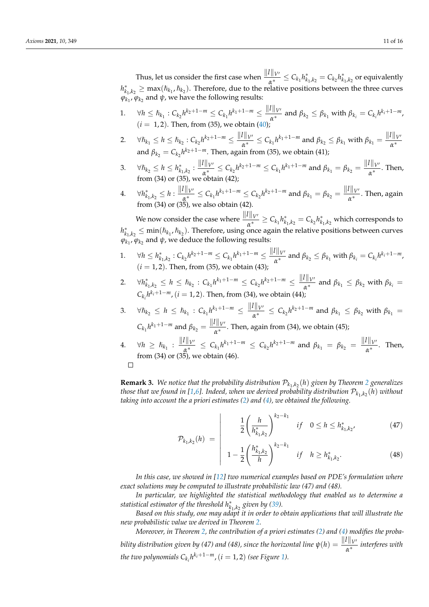Thus, let us consider the first case when  $\frac{\|l\|_{V'}}{\alpha^*} \leq C_{k_1} h_{k_1,k_2}^* = C_{k_2} h_{k_1,k_2}^*$  or equivalently  $h_{k_1,k_2}^* \geq \max(\hbar_{k_1},\hbar_{k_2})$ . Therefore, due to the relative positions between the three curves  $\varphi_{k_1}$ ,  $\varphi_{k_2}$  and  $\psi$ , we have the following results:

1. 
$$
\forall h \leq \hbar_{k_1}: C_{k_2} h^{k_2+1-m} \leq C_{k_1} h^{k_1+1-m} \leq \frac{||l||_{V'}}{\alpha^*}
$$
 and  $\beta_{k_2} \leq \beta_{k_1}$  with  $\beta_{k_i} = C_{k_i} h^{k_i+1-m}$ ,   
(*i* = 1,2). Then, from (35), we obtain (40);

- 2.  $\forall \hbar_{k_1} \leq h \leq \hbar_{k_2} : C_{k_2} h^{k_2+1-m} \leq \frac{||l||_{V'}}{n^*}$  $\frac{d\|V'}{dx^*} \leq C_{k_1} h^{k_1+1-m}$  and  $\beta_{k_2} \leq \beta_{k_1}$  with  $\beta_{k_1} = \frac{\|I\|_{V'}}{\alpha^*}$ *α* ∗ and  $\beta_{k_2} = C_{k_2} h^{k_2+1-m}$ . Then, again from (35), we obtain (41);
- 3.  $\forall h_{k_2} \leq h \leq h_{k_1,k_2}^* : \frac{\|l\|_{V'}}{\alpha^*}$  $\frac{d\|V\|}{d\alpha^*_{k+1}} \leq C_{k_2} h^{k_2+1-m} \leq C_{k_1} h^{k_1+1-m}$  and  $\beta_{k_1} = \beta_{k_2} = \frac{\|I\|_{V^M}}{\alpha^*_{k+1}}$  $\frac{\alpha}{\alpha^*}$ . Then, from (34) or (35), we obtain (42);
- $4. \quad \forall h^{*}_{k_1,k_2} \leq h: \frac{\|l\|_{V'}}{\alpha^*}$  $\frac{d\|V'}{dx^*} \leq C_{k_1} h^{k_1+1-m} \leq C_{k_2} h^{k_2+1-m}$  and  $\beta_{k_1} = \beta_{k_2} = \frac{\|I\|_{V'}}{\alpha^*}$  $\frac{\partial \Gamma(\mathbf{V})}{\partial \mathbf{r}^*}$ . Then, again from (34) or (35), we also obtain (42).

We now consider the case where  $\frac{||l||_{V'}}{a^*} \ge C_{k_1} h_{k_1,k_2}^* = C_{k_2} h_{k_1,k_2}^*$  which corresponds to  $h_{k_1,k_2}^* \leq \min(\hbar_{k_1},\hbar_{k_2})$ . Therefore, using once again the relative positions between curves  $\varphi_{k_1}$ ,  $\varphi_{k_2}$  and  $\psi$ , we deduce the following results:

- 1.  $\forall h \leq h_{k_1,k_2}^* : C_{k_2} h^{k_2+1-m} \leq C_{k_1} h^{k_1+1-m} \leq \frac{||l||_{V^k}}{\alpha^*}$  $\frac{d}{dx} \alpha^*$  and  $\beta_{k_2} \leq \beta_{k_1}$  with  $\beta_{k_i} = C_{k_i} h^{k_i+1-m}$ ,  $(i = 1, 2)$ . Then, from (35), we obtain (43);
- 2.  $\forall h_{k_1,k_2}^* \leq h \leq \hbar_{k_2} : C_{k_1} h^{k_1+1-m} \leq C_{k_2} h^{k_2+1-m} \leq \frac{||l||_{V^k}}{\alpha^*}$  $\frac{\beta}{\alpha^*}$  and  $\beta_{k_1} \leq \beta_{k_2}$  with  $\beta_{k_i} =$  $C_{k_i} h^{k_i+1-m}$ ,  $(i = 1, 2)$ . Then, from (34), we obtain (44);
- 3.  $\forall \hslash_{k_2} \leq h \leq \hslash_{k_1} : C_{k_1} h^{k_1+1-m} \leq \frac{||l||_{V^k}}{n^*}$  $\frac{a_{k}^{n}}{\alpha^{*}} \leq C_{k_{2}} h^{k_{2}+1-m}$  and  $\beta_{k_{1}} \leq \beta_{k_{2}}$  with  $\beta_{k_{1}} =$  $C_{k_1} h^{k_1+1-m}$  and  $\beta_{k_2} = \frac{||l||_{V'}}{\alpha^*}$  $\frac{u_1v_2}{\alpha^*}$ . Then, again from (34), we obtain (45);
- $4. \quad \forall h \geq \hbar_{k_1} : \frac{\|l\|_{V'}}{\alpha^*}$  $\frac{d\|V\|}{dx} \leq C_{k_1} h^{k_1+1-m} \leq C_{k_2} h^{k_2+1-m}$  and  $\beta_{k_1} = \beta_{k_2} = \frac{\|I\|_{V^M}}{x^*}$  $\frac{n}{\alpha^*}$ . Then, from (34) or (35), we obtain (46).  $\Box$

**Remark 3.** We notice that the probability distribution  $\mathcal{P}_{k_1,k_2}(h)$  given by Theorem 2 generalizes *those that we found in [1,6]. Indeed, when we derived probability distribution*  $\mathcal{P}_{k_1,k_2}(h)$  *without taking into account the a priori estimates (2) and (4), we obtained the following.*

> $\overline{\phantom{a}}$  $\overline{\phantom{a}}$  $\overline{\phantom{a}}$  $\overline{\phantom{a}}$  $\overline{\phantom{a}}$

$$
\frac{1}{2} \left( \frac{h}{h_{k_1,k_2}^*} \right)^{k_2 - k_1} \quad \text{if} \quad 0 \le h \le h_{k_1,k_2}^* \tag{47}
$$

$$
\mathcal{P}_{k_1,k_2}(h) = \begin{vmatrix} 1 - \frac{1}{2} \left( \frac{h_{k_1,k_2}^*}{h} \right)^{k_2 - k_1} & \text{if} \quad h \ge h_{k_1,k_2}^* \end{vmatrix} \tag{48}
$$

*In this case, we showed in [12] two numerical examples based on PDE's formulation where exact solutions may be computed to illustrate probabilistic law (47) and (48).*

*In particular, we highlighted the statistical methodology that enabled us to determine a statistical estimator of the threshold*  $h_{k_1,k_2}^*$  *given by* (39)*.* 

*Based on this study, one may adapt it in order to obtain applications that will illustrate the new probabilistic value we derived in Theorem 2.*

*Moreover, in Theorem 2, the contribution of a priori estimates (2) and (4) modifies the probability distribution given by (47) and (48), since the horizontal line*  $\psi(h) = \frac{\|l\|_{V'}}{\alpha^*}$  *interferes with the two polynomials*  $C_{k_i} h^{k_i+1-m}$ ,  $(i = 1, 2)$  *(see Figure 1).*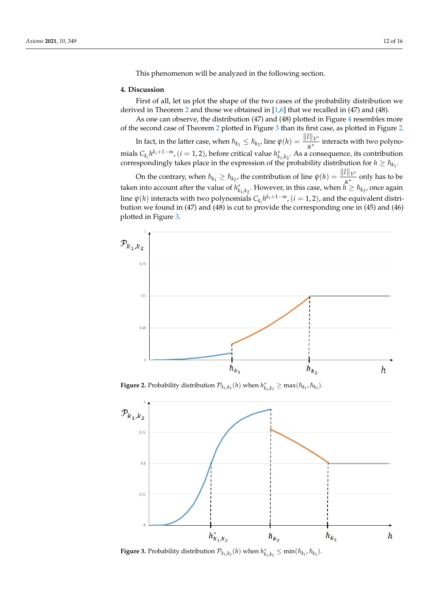This phenomenon will be analyzed in the following section.

## **4. Discussion**

First of all, let us plot the shape of the two cases of the probability distribution we derived in Theorem 2 and those we obtained in [1,6] that we recalled in (47) and (48).

As one can observe, the distribution (47) and (48) plotted in Figure 4 resembles more of the second case of Theorem 2 plotted in Figure 3 than its first case, as plotted in Figure 2. In fact, in the latter case, when  $\hbar_{k_1} \leq \hbar_{k_2}$ , line  $\psi(h) = \frac{||l||_{V'}}{\alpha^*}$  interacts with two polynomials  $C_{k_i} h^{k_i+1-m}$ , (*i* = 1, 2), before critical value  $h_{k_1,k_2}^*$ . As a consequence, its contribution correspondingly takes place in the expression of the probability distribution for  $h \geq h_{k_1}$ .

On the contrary, when  $\hbar_{k_1} \ge \hbar_{k_2}$ , the contribution of line  $\psi(h) = \frac{\|l\|_{V'}}{\mu^*}$  only has to be taken into account after the value of  $h_{k_1,k_2}^*$ . However, in this case, when  $h \ge h_{k_2}$ , once again line  $\psi(h)$  interacts with two polynomials  $C_{k_i}h^{k_i+1-m}$ ,  $(i = 1, 2)$ , and the equivalent distribution we found in (47) and (48) is cut to provide the corresponding one in (45) and (46) plotted in Figure 3.



**Figure 2.** Probability distribution  $\mathcal{P}_{k_1,k_2}(h)$  when  $h_{k_1,k_2}^* \ge \max(\hbar_{k_1}, \hbar_{k_2}).$ 



**Figure 3.** Probability distribution  $\mathcal{P}_{k_1,k_2}(h)$  when  $h_{k_1,k_2}^* \leq \min(\hbar_{k_1}, \hbar_{k_2})$ .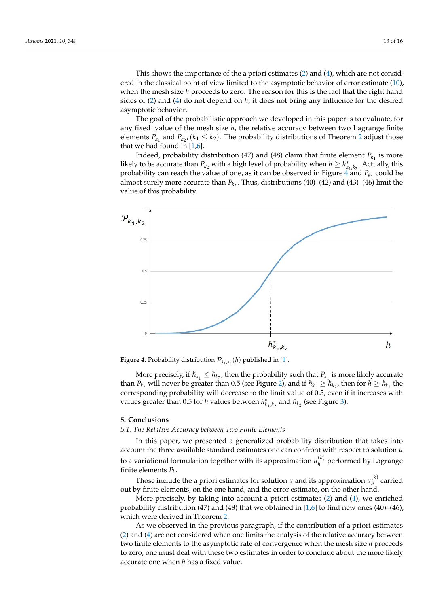This shows the importance of the a priori estimates (2) and (4), which are not considered in the classical point of view limited to the asymptotic behavior of error estimate (10), when the mesh size *h* proceeds to zero. The reason for this is the fact that the right hand sides of (2) and (4) do not depend on *h*; it does not bring any influence for the desired asymptotic behavior.

The goal of the probabilistic approach we developed in this paper is to evaluate, for any fixed value of the mesh size *h*, the relative accuracy between two Lagrange finite elements  $P_{k_1}$  and  $P_{k_2}$ , ( $k_1 \leq k_2$ ). The probability distributions of Theorem 2 adjust those that we had found in [1,6].

Indeed, probability distribution (47) and (48) claim that finite element  $P_{k_1}$  is more likely to be accurate than  $P_{k_2}$  with a high level of probability when  $h \ge h_{k_1,k_2}^*$ . Actually, this probability can reach the value of one, as it can be observed in Figure 4 and  $P_{k_1}$  could be almost surely more accurate than  $P_{k_2}$ . Thus, distributions (40)–(42) and (43)–(46) limit the value of this probability.



**Figure 4.** Probability distribution  $\mathcal{P}_{k_1,k_2}(h)$  published in [1].

More precisely, if  $\hbar_{k_1} \leq \hbar_{k_2}$ , then the probability such that  $P_{k_1}$  is more likely accurate than  $P_{k_2}$  will never be greater than 0.5 (see Figure 2), and if  $\hbar_{k_1} \ge \hbar_{k_2}$ , then for  $h \ge \hbar_{k_2}$  the corresponding probability will decrease to the limit value of 0.5, even if it increases with values greater than 0.5 for *h* values between  $h_{k_1,k_2}^*$  and  $\hbar_{k_2}$  (see Figure 3).

#### **5. Conclusions**

### *5.1. The Relative Accuracy between Two Finite Elements*

In this paper, we presented a generalized probability distribution that takes into account the three available standard estimates one can confront with respect to solution *u* to a variational formulation together with its approximation  $u_h^{(k)}$  $h$ <sup>( $h$ </sup>) performed by Lagrange finite elements *P<sup>k</sup>* .

Those include the a priori estimates for solution *u* and its approximation  $u_h^{(k)}$ *h* carried out by finite elements, on the one hand, and the error estimate, on the other hand.

More precisely, by taking into account a priori estimates (2) and (4), we enriched probability distribution (47) and (48) that we obtained in  $[1,6]$  to find new ones (40)–(46), which were derived in Theorem 2.

As we observed in the previous paragraph, if the contribution of a priori estimates (2) and (4) are not considered when one limits the analysis of the relative accuracy between two finite elements to the asymptotic rate of convergence when the mesh size *h* proceeds to zero, one must deal with these two estimates in order to conclude about the more likely accurate one when *h* has a fixed value.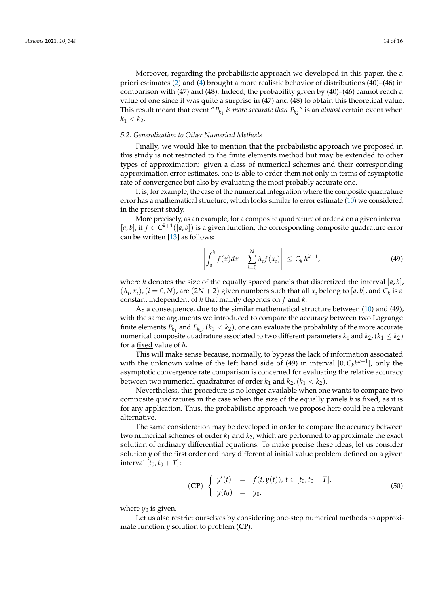Moreover, regarding the probabilistic approach we developed in this paper, the a priori estimates (2) and (4) brought a more realistic behavior of distributions (40)–(46) in comparison with  $(47)$  and  $(48)$ . Indeed, the probability given by  $(40)$ – $(46)$  cannot reach a value of one since it was quite a surprise in (47) and (48) to obtain this theoretical value. This result meant that event " $P_{k_1}$  *is more accurate than*  $P_{k_2}$ " is an *almost* certain event when  $k_1 < k_2$ .

#### *5.2. Generalization to Other Numerical Methods*

Finally, we would like to mention that the probabilistic approach we proposed in this study is not restricted to the finite elements method but may be extended to other types of approximation: given a class of numerical schemes and their corresponding approximation error estimates, one is able to order them not only in terms of asymptotic rate of convergence but also by evaluating the most probably accurate one.

It is, for example, the case of the numerical integration where the composite quadrature error has a mathematical structure, which looks similar to error estimate (10) we considered in the present study.

More precisely, as an example, for a composite quadrature of order *k* on a given interval [ $a$ ,  $b$ ], if  $f \in C^{k+1}([a, b])$  is a given function, the corresponding composite quadrature error can be written [13] as follows:

$$
\left| \int_{a}^{b} f(x) dx - \sum_{i=0}^{N} \lambda_{i} f(x_{i}) \right| \leq C_{k} h^{k+1}, \tag{49}
$$

where *h* denotes the size of the equally spaced panels that discretized the interval  $[a, b]$ ,  $(\lambda_i, x_i)$ ,  $(i = 0, N)$ , are  $(2N + 2)$  given numbers such that all  $x_i$  belong to  $[a, b]$ , and  $C_k$  is a constant independent of *h* that mainly depends on *f* and *k*.

As a consequence, due to the similar mathematical structure between (10) and (49), with the same arguments we introduced to compare the accuracy between two Lagrange finite elements  $P_{k_1}$  and  $P_{k_2}$ ,  $(k_1 < k_2)$ , one can evaluate the probability of the more accurate numerical composite quadrature associated to two different parameters  $k_1$  and  $k_2$ , ( $k_1 \leq k_2$ ) for a fixed value of *h*.

This will make sense because, normally, to bypass the lack of information associated with the unknown value of the left hand side of (49) in interval  $[0, C_k h^{k+1}]$ , only the asymptotic convergence rate comparison is concerned for evaluating the relative accuracy between two numerical quadratures of order  $k_1$  and  $k_2$ ,  $(k_1 < k_2)$ .

Nevertheless, this procedure is no longer available when one wants to compare two composite quadratures in the case when the size of the equally panels *h* is fixed, as it is for any application. Thus, the probabilistic approach we propose here could be a relevant alternative.

The same consideration may be developed in order to compare the accuracy between two numerical schemes of order *k*<sup>1</sup> and *k*2, which are performed to approximate the exact solution of ordinary differential equations. To make precise these ideas, let us consider solution *y* of the first order ordinary differential initial value problem defined on a given interval  $[t_0, t_0 + T]$ :

$$
\begin{array}{rcl}\n\text{(CP)} & \left\{ \begin{array}{lcl} y'(t) & = & f(t, y(t)), \, t \in [t_0, t_0 + T], \\ y(t_0) & = & y_0, \end{array} \right. \\
\text{(50)}\n\end{array}
$$

where  $y_0$  is given.

Let us also restrict ourselves by considering one-step numerical methods to approximate function *y* solution to problem (**CP**).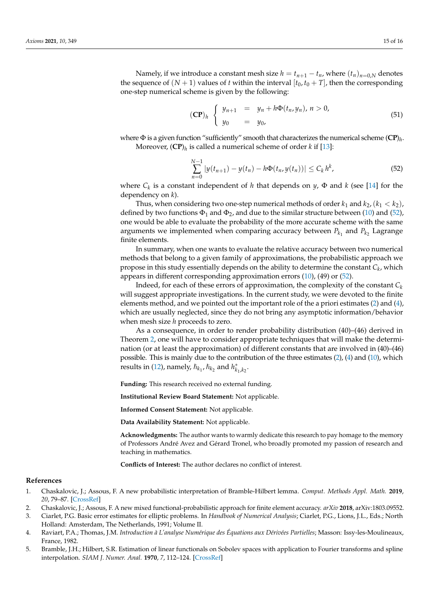Namely, if we introduce a constant mesh size  $h = t_{n+1} - t_n$ , where  $(t_n)_{n=0,N}$  denotes the sequence of  $(N + 1)$  values of *t* within the interval  $[t_0, t_0 + T]$ , then the corresponding one-step numerical scheme is given by the following:

$$
(\mathbf{CP})_h \begin{cases} y_{n+1} = y_n + h\Phi(t_n, y_n), \, n > 0, \\ y_0 = y_0, \end{cases} \tag{51}
$$

where  $\Phi$  is a given function "sufficiently" smooth that characterizes the numerical scheme  $(\mathbf{CP})_h$ . Moreover, (**CP**)*<sup>h</sup>* is called a numerical scheme of order *k* if [13]:

$$
\sum_{n=0}^{N-1} |y(t_{n+1}) - y(t_n) - h\Phi(t_n, y(t_n))| \le C_k h^k,
$$
\n(52)

where *C<sup>k</sup>* is a constant independent of *h* that depends on *y*, Φ and *k* (see [14] for the dependency on *k*).

Thus, when considering two one-step numerical methods of order  $k_1$  and  $k_2$ ,  $(k_1 < k_2)$ , defined by two functions  $\Phi_1$  and  $\Phi_2$ , and due to the similar structure between (10) and (52), one would be able to evaluate the probability of the more accurate scheme with the same arguments we implemented when comparing accuracy between  $P_{k_1}$  and  $P_{k_2}$  Lagrange finite elements.

In summary, when one wants to evaluate the relative accuracy between two numerical methods that belong to a given family of approximations, the probabilistic approach we propose in this study essentially depends on the ability to determine the constant *C<sup>k</sup>* , which appears in different corresponding approximation errors (10), (49) or (52).

Indeed, for each of these errors of approximation, the complexity of the constant  $C_k$ will suggest appropriate investigations. In the current study, we were devoted to the finite elements method, and we pointed out the important role of the a priori estimates (2) and (4), which are usually neglected, since they do not bring any asymptotic information/behavior when mesh size *h* proceeds to zero.

As a consequence, in order to render probability distribution (40)–(46) derived in Theorem 2, one will have to consider appropriate techniques that will make the determination (or at least the approximation) of different constants that are involved in (40)–(46) possible. This is mainly due to the contribution of the three estimates (2), (4) and (10), which results in (12), namely,  $\hbar_{k_1}$ ,  $\hbar_{k_2}$  and  $h^*_{k_1,k_2}$ .

**Funding:** This research received no external funding.

**Institutional Review Board Statement:** Not applicable.

**Informed Consent Statement:** Not applicable.

**Data Availability Statement:** Not applicable.

**Acknowledgments:** The author wants to warmly dedicate this research to pay homage to the memory of Professors André Avez and Gérard Tronel, who broadly promoted my passion of research and teaching in mathematics.

**Conflicts of Interest:** The author declares no conflict of interest.

#### **References**

- 1. Chaskalovic, J.; Assous, F. A new probabilistic interpretation of Bramble-Hilbert lemma. *Comput. Methods Appl. Math.* **2019**, *20*, 79–87. [\[CrossRef\]](http://doi.org/10.1515/cmam-2018-0270)
- 2. Chaskalovic, J.; Assous, F. A new mixed functional-probabilistic approach for finite element accuracy. *arXiv* **2018**, arXiv:1803.09552.

3. Ciarlet, P.G. Basic error estimates for elliptic problems. In *Handbook of Numerical Analysis*; Ciarlet, P.G., Lions, J.L., Eds.; North Holland: Amsterdam, The Netherlands, 1991; Volume II.

- 4. Raviart, P.A.; Thomas, J.M. *Introduction à L'analyse Numérique des Équations aux Dérivées Partielles*; Masson: Issy-les-Moulineaux, France, 1982.
- 5. Bramble, J.H.; Hilbert, S.R. Estimation of linear functionals on Sobolev spaces with application to Fourier transforms and spline interpolation. *SIAM J. Numer. Anal.* **1970**, *7*, 112–124. [\[CrossRef\]](http://dx.doi.org/10.1137/0707006)